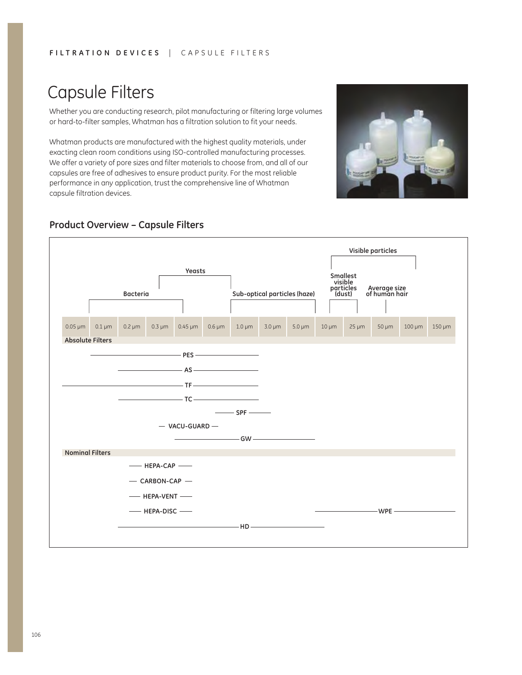# Capsule Filters

Whether you are conducting research, pilot manufacturing or filtering large volumes or hard-to-filter samples, Whatman has a filtration solution to fit your needs.

Whatman products are manufactured with the highest quality materials, under exacting clean room conditions using ISO-controlled manufacturing processes. We offer a variety of pore sizes and filter materials to choose from, and all of our capsules are free of adhesives to ensure product purity. For the most reliable performance in any application, trust the comprehensive line of Whatman capsule filtration devices.



### **Product Overview – Capsule Filters**

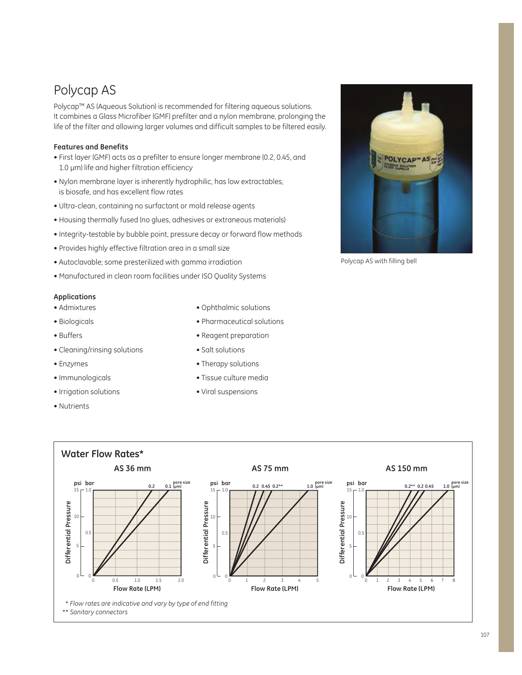## Polycap AS

Polycap™ AS (Aqueous Solution) is recommended for filtering aqueous solutions. It combines a Glass Microfiber (GMF) prefilter and a nylon membrane, prolonging the life of the filter and allowing larger volumes and difficult samples to be filtered easily.

### **Features and Benefits**

- First layer (GMF) acts as a prefilter to ensure longer membrane (0.2, 0.45, and 1.0 µm) life and higher filtration efficiency
- Nylon membrane layer is inherently hydrophilic, has low extractables, is biosafe, and has excellent flow rates
- Ultra-clean, containing no surfactant or mold release agents
- Housing thermally fused (no glues, adhesives or extraneous materials)
- Integrity-testable by bubble point, pressure decay or forward flow methods
- Provides highly effective filtration area in a small size
- Autoclavable; some presterilized with gamma irradiation
- Manufactured in clean room facilities under ISO Quality Systems

#### **Applications**

- Admixtures
- Biologicals
- $\bullet$  Buffers
- Cleaning/rinsing solutions
- Enzymes
- Immunologicals
- Irrigation solutions
- Nutrients
- Ophthalmic solutions
- Pharmaceutical solutions
- Reagent preparation
- Salt solutions

POLYCAP<sup>®</sup>

Polycap AS with filling bell

• Therapy solutions • Tissue culture media • Viral suspensions

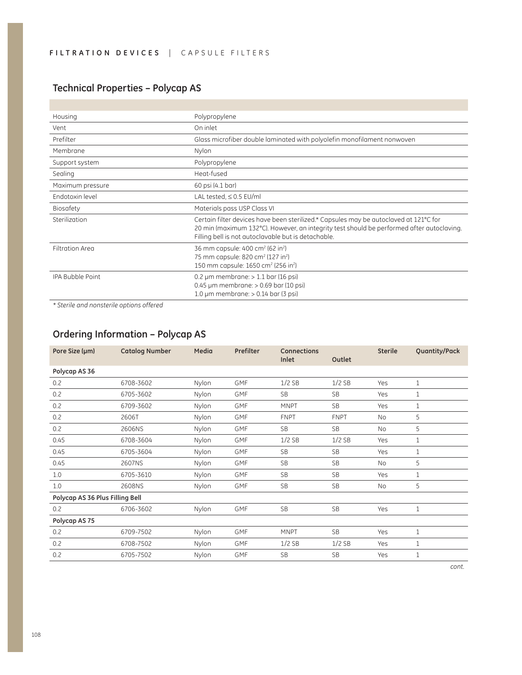### **Technical Properties – Polycap AS**

| Housing                 | Polypropylene                                                                                                                                                                                                                             |
|-------------------------|-------------------------------------------------------------------------------------------------------------------------------------------------------------------------------------------------------------------------------------------|
| Vent                    | On inlet                                                                                                                                                                                                                                  |
| Prefilter               | Glass microfiber double laminated with polyolefin monofilament nonwoven                                                                                                                                                                   |
| Membrane                | Nylon                                                                                                                                                                                                                                     |
| Support system          | Polypropylene                                                                                                                                                                                                                             |
| Sealing                 | Heat-fused                                                                                                                                                                                                                                |
| Maximum pressure        | 60 psi (4.1 bar)                                                                                                                                                                                                                          |
| Endotoxin level         | LAL tested, $\leq$ 0.5 EU/ml                                                                                                                                                                                                              |
| <b>Biosafety</b>        | Materials pass USP Class VI                                                                                                                                                                                                               |
| Sterilization           | Certain filter devices have been sterilized.* Capsules may be autoclaved at 121°C for<br>20 min (maximum 132°C). However, an integrity test should be performed after autoclaving.<br>Filling bell is not autoclavable but is detachable. |
| <b>Filtration Area</b>  | 36 mm capsule: 400 cm <sup>2</sup> (62 in <sup>2</sup> )<br>75 mm capsule: 820 cm <sup>2</sup> (127 in <sup>2</sup> )<br>150 mm capsule: 1650 cm <sup>2</sup> (256 in <sup>2</sup> )                                                      |
| <b>IPA Bubble Point</b> | 0.2 $\mu$ m membrane: > 1.1 bar (16 psi)<br>$0.45 \mu m$ membrane: $> 0.69$ bar (10 psi)<br>$1.0 \mu m$ membrane: $> 0.14$ bar (3 psi)                                                                                                    |

*\* Sterile and nonsterile options offered*

## **Ordering Information – Polycap AS**

| <b>Catalog Number</b> | Media                           | Prefilter  | Connections<br>Inlet | Outlet      | <b>Sterile</b> | Quantity/Pack |
|-----------------------|---------------------------------|------------|----------------------|-------------|----------------|---------------|
|                       |                                 |            |                      |             |                |               |
| 6708-3602             | Nylon                           | <b>GMF</b> | $1/2$ SB             | $1/2$ SB    | Yes            | 1             |
| 6705-3602             | Nylon                           | <b>GMF</b> | SB                   | <b>SB</b>   | Yes            | 1             |
| 6709-3602             | Nylon                           | <b>GMF</b> | <b>MNPT</b>          | <b>SB</b>   | Yes            | 1             |
| 2606T                 | Nylon                           | <b>GMF</b> | <b>FNPT</b>          | <b>FNPT</b> | No             | 5             |
| 2606NS                | Nylon                           | <b>GMF</b> | <b>SB</b>            | <b>SB</b>   | No             | 5             |
| 6708-3604             | Nylon                           | <b>GMF</b> | $1/2$ SB             | $1/2$ SB    | Yes            | 1             |
| 6705-3604             | Nylon                           | <b>GMF</b> | <b>SB</b>            | <b>SB</b>   | Yes            | 1             |
| 2607NS                | Nylon                           | <b>GMF</b> | <b>SB</b>            | <b>SB</b>   | <b>No</b>      | 5             |
| 6705-3610             | Nylon                           | <b>GMF</b> | <b>SB</b>            | <b>SB</b>   | Yes            | 1             |
| 2608NS                | Nylon                           | <b>GMF</b> | <b>SB</b>            | <b>SB</b>   | No             | 5             |
|                       |                                 |            |                      |             |                |               |
| 6706-3602             | Nylon                           | <b>GMF</b> | <b>SB</b>            | <b>SB</b>   | Yes            | 1             |
|                       |                                 |            |                      |             |                |               |
| 6709-7502             | Nylon                           | <b>GMF</b> | <b>MNPT</b>          | <b>SB</b>   | Yes            | 1             |
| 6708-7502             | Nylon                           | <b>GMF</b> | $1/2$ SB             | $1/2$ SB    | Yes            | 1             |
| 6705-7502             | Nylon                           | <b>GMF</b> | <b>SB</b>            | <b>SB</b>   | Yes            | 1             |
|                       | Polycap AS 36 Plus Filling Bell |            |                      |             |                |               |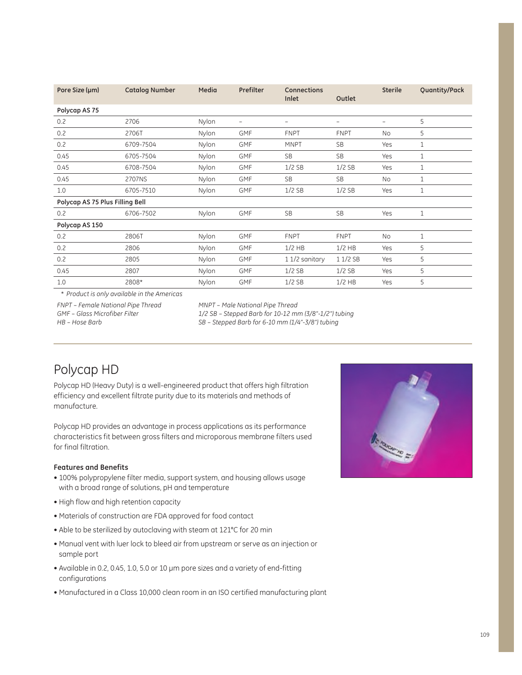| 5            |
|--------------|
| 5            |
| 1            |
| $\mathbf{1}$ |
| $\mathbf{1}$ |
| $\mathbf{1}$ |
| $\mathbf{1}$ |
|              |
| $\mathbf{1}$ |
|              |
| $\mathbf{1}$ |
| 5            |
| 5            |
| 5            |
| 5            |
|              |

\* *Product is only available in the Americas*

*FNPT – Female National Pipe Thread GMF – Glass Microfiber Filter HB – Hose Barb*

*MNPT – Male National Pipe Thread* 

*1/2 SB – Stepped Barb for 10-12 mm (3/8"-1/2") tubing SB – Stepped Barb for 6-10 mm (1/4"-3/8") tubing*

## Polycap HD

Polycap HD (Heavy Duty) is a well-engineered product that offers high filtration efficiency and excellent filtrate purity due to its materials and methods of manufacture.

Polycap HD provides an advantage in process applications as its performance characteristics fit between gross filters and microporous membrane filters used for final filtration.

### **Features and Benefits**

- 100% polypropylene filter media, support system, and housing allows usage with a broad range of solutions, pH and temperature
- High flow and high retention capacity
- Materials of construction are FDA approved for food contact
- Able to be sterilized by autoclaving with steam at 121°C for 20 min
- Manual vent with luer lock to bleed air from upstream or serve as an injection or sample port
- Available in 0.2, 0.45, 1.0, 5.0 or 10 µm pore sizes and a variety of end-fitting configurations
- Manufactured in a Class 10,000 clean room in an ISO certified manufacturing plant

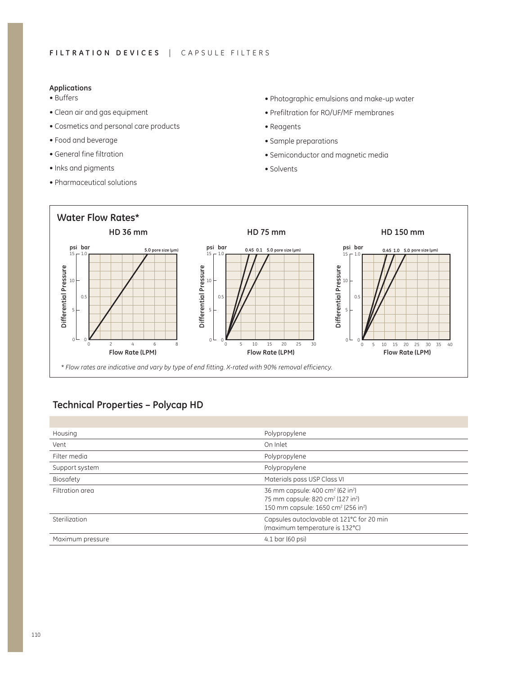#### **Applications**

- $\bullet$  Buffers
- Clean air and gas equipment
- Cosmetics and personal care products
- Food and beverage
- $\bullet$  General fine filtration
- Inks and pigments
- Pharmaceutical solutions
- Photographic emulsions and make-up water
- Prefiltration for RO/UF/MF membranes
- Reagents
- Sample preparations
- Semiconductor and magnetic media
- $\bullet$  Solvents



### **Technical Properties – Polycap HD**

| Housing          | Polypropylene                                                                                                                                                                        |
|------------------|--------------------------------------------------------------------------------------------------------------------------------------------------------------------------------------|
| Vent             | On Inlet                                                                                                                                                                             |
| Filter media     | Polypropylene                                                                                                                                                                        |
| Support system   | Polypropylene                                                                                                                                                                        |
| Biosafety        | Materials pass USP Class VI                                                                                                                                                          |
| Filtration area  | 36 mm capsule: 400 cm <sup>2</sup> (62 in <sup>2</sup> )<br>75 mm capsule: 820 cm <sup>2</sup> (127 in <sup>2</sup> )<br>150 mm capsule: 1650 cm <sup>2</sup> (256 in <sup>2</sup> ) |
| Sterilization    | Capsules autoclavable at 121°C for 20 min<br>(maximum temperature is 132°C)                                                                                                          |
| Maximum pressure | 4.1 bar (60 psi)                                                                                                                                                                     |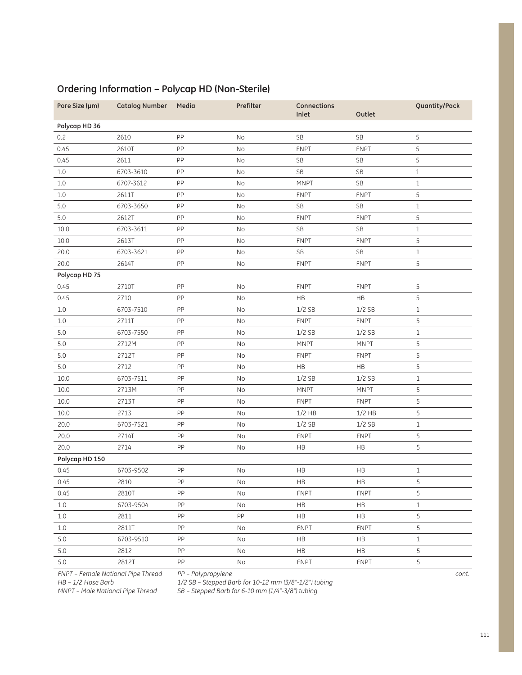| Pore Size (µm) | <b>Catalog Number</b> | Media | Prefilter | Connections<br>Inlet | Outlet               | Quantity/Pack |
|----------------|-----------------------|-------|-----------|----------------------|----------------------|---------------|
| Polycap HD 36  |                       |       |           |                      |                      |               |
| 0.2            | 2610                  | PP    | <b>No</b> | <b>SB</b>            | <b>SB</b>            | 5             |
| 0.45           | 2610T                 | PP    | No        | <b>FNPT</b>          | <b>FNPT</b>          | 5             |
| 0.45           | 2611                  | PP    | No        | <b>SB</b>            | <b>SB</b>            | 5             |
| $1.0\,$        | 6703-3610             | PP    | No        | <b>SB</b>            | $\mathsf{SB}\xspace$ | $1\,$         |
| $1.0\,$        | 6707-3612             | PP    | No        | <b>MNPT</b>          | $\mathsf{SB}\xspace$ | $\mathbf 1$   |
| $1.0\,$        | 2611T                 | PP    | No        | <b>FNPT</b>          | <b>FNPT</b>          | 5             |
| 5.0            | 6703-3650             | PP    | No        | <b>SB</b>            | <b>SB</b>            | $\mathbf 1$   |
| 5.0            | 2612T                 | PP    | No        | <b>FNPT</b>          | <b>FNPT</b>          | 5             |
| 10.0           | 6703-3611             | PP    | No        | <b>SB</b>            | <b>SB</b>            | $\mathbf 1$   |
| 10.0           | 2613T                 | PP    | No        | <b>FNPT</b>          | <b>FNPT</b>          | 5             |
| 20.0           | 6703-3621             | PP    | No        | <b>SB</b>            | <b>SB</b>            | $\mathbf{1}$  |
| 20.0           | 2614T                 | PP    | No        | <b>FNPT</b>          | <b>FNPT</b>          | 5             |
| Polycap HD 75  |                       |       |           |                      |                      |               |
| 0.45           | 2710T                 | PP    | No        | <b>FNPT</b>          | <b>FNPT</b>          | 5             |
| 0.45           | 2710                  | PP    | No        | <b>HB</b>            | HB                   | 5             |
| 1.0            | 6703-7510             | PP    | No        | $1/2$ SB             | $1/2$ SB             | $\mathbf 1$   |
| 1.0            | 2711T                 | PP    | No        | <b>FNPT</b>          | <b>FNPT</b>          | 5             |
| 5.0            | 6703-7550             | PP    | No        | $1/2$ SB             | $1/2$ SB             | $\mathbf 1$   |
| $5.0$          | 2712M                 | PP    | No        | <b>MNPT</b>          | <b>MNPT</b>          | 5             |
| 5.0            | 2712T                 | PP    | No        | <b>FNPT</b>          | <b>FNPT</b>          | 5             |
| $5.0\,$        | 2712                  | PP    | No        | HB                   | HB                   | 5             |
| 10.0           | 6703-7511             | PP    | <b>No</b> | $1/2$ SB             | $1/2$ SB             | $\mathbf{1}$  |
| 10.0           | 2713M                 | PP    | No        | <b>MNPT</b>          | <b>MNPT</b>          | 5             |
| 10.0           | 2713T                 | PP    | No        | <b>FNPT</b>          | <b>FNPT</b>          | 5             |
| 10.0           | 2713                  | PP    | No        | $1/2$ HB             | $1/2$ HB             | 5             |
| 20.0           | 6703-7521             | PP    | <b>No</b> | $1/2$ SB             | $1/2$ SB             | $\mathbf{1}$  |
| 20.0           | 2714T                 | PP    | No        | <b>FNPT</b>          | <b>FNPT</b>          | 5             |
| 20.0           | 2714                  | PP    | No        | HB                   | HB                   | 5             |
| Polycap HD 150 |                       |       |           |                      |                      |               |
| 0.45           | 6703-9502             | PP    | <b>No</b> | HB                   | HB                   | $1\,$         |
| 0.45           | 2810                  | PP    | $\rm No$  | $\mathsf{HB}$        | HB                   | 5             |
| 0.45           | 2810T                 | PP    | No        | <b>FNPT</b>          | <b>FNPT</b>          | 5             |
| $1.0\,$        | 6703-9504             | PP    | No        | HB                   | $\mathsf{HB}$        | $\mathbbm{1}$ |
| 1.0            | 2811                  | PP    | PP        | HB                   | HB                   | 5             |
| $1.0\,$        | 2811T                 | PP    | No        | <b>FNPT</b>          | <b>FNPT</b>          | 5             |
| $5.0\,$        | 6703-9510             | PP    | No        | HB                   | HB                   | $\mathbbm{1}$ |
| $5.0\,$        | 2812                  | PP    | No        | HB                   | HB                   | 5             |
| $5.0\,$        | 2812T                 | PP    | No        | <b>FNPT</b>          | <b>FNPT</b>          | 5             |

### **Ordering Information – Polycap HD (Non-Sterile)**

*FNPT – Female National Pipe Thread PP – Polypropylene*

*HB – 1/2 Hose Barb MNPT – Male National Pipe Thread* *1/2 SB – Stepped Barb for 10-12 mm (3/8"-1/2") tubing SB – Stepped Barb for 6-10 mm (1/4"-3/8") tubing*

*cont.*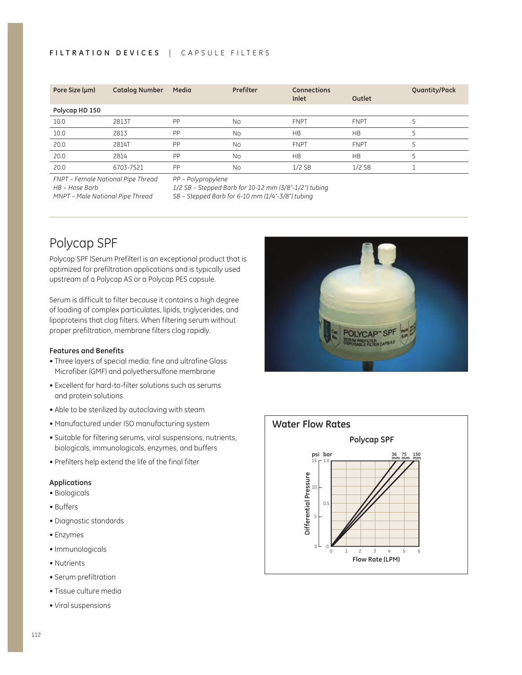### FILTRATION DEVICES | CAPSULE FILTERS

| Pore Size (µm) | <b>Catalog Number</b> | Media | <b>Prefilter</b> | <b>Connections</b><br>Inlet | Outlet      | Quantity/Pack |
|----------------|-----------------------|-------|------------------|-----------------------------|-------------|---------------|
| Polycap HD 150 |                       |       |                  |                             |             |               |
| 10.0           | 2813T                 | PP    | No               | <b>FNPT</b>                 | <b>FNPT</b> |               |
| 10.0           | 2813                  | PP    | No               | <b>HB</b>                   | <b>HB</b>   |               |
| 20.0           | 2814T                 | PP    | No               | <b>FNPT</b>                 | <b>FNPT</b> |               |
| 20.0           | 2814                  | PP    | No               | <b>HB</b>                   | <b>HB</b>   |               |
| 20.0           | 6703-7521             | PP    | No               | $1/2$ SB                    | $1/2$ SB    |               |

*FNPT – Female National Pipe Thread*

*HB – Hose Barb*

*MNPT – Male National Pipe Thread*

*PP – Polypropylene*

*1/2 SB – Stepped Barb for 10-12 mm (3/8"-1/2") tubing SB – Stepped Barb for 6-10 mm (1/4"-3/8") tubing*

## Polycap SPF

Polycap SPF (Serum Prefilter) is an exceptional product that is optimized for prefiltration applications and is typically used upstream of a Polycap AS or a Polycap PES capsule.

Serum is difficult to filter because it contains a high degree of loading of complex particulates, lipids, triglycerides, and lipoproteins that clog filters. When filtering serum without proper prefiltration, membrane filters clog rapidly.

#### **Features and Benefits**

- Three layers of special media: fine and ultrafine Glass Microfiber (GMF) and polyethersulfone membrane
- Excellent for hard-to-filter solutions such as serums and protein solutions
- Able to be sterilized by autoclaving with steam
- Manufactured under ISO manufacturing system
- Suitable for filtering serums, viral suspensions, nutrients, biologicals, immunologicals, enzymes, and buffers
- Prefilters help extend the life of the final filter

#### **Applications**

- Biologicals
- Buffers
- Diagnostic standards
- Enzymes
- Immunologicals
- Nutrients
- Serum prefiltration
- Tissue culture media
- Viral suspensions



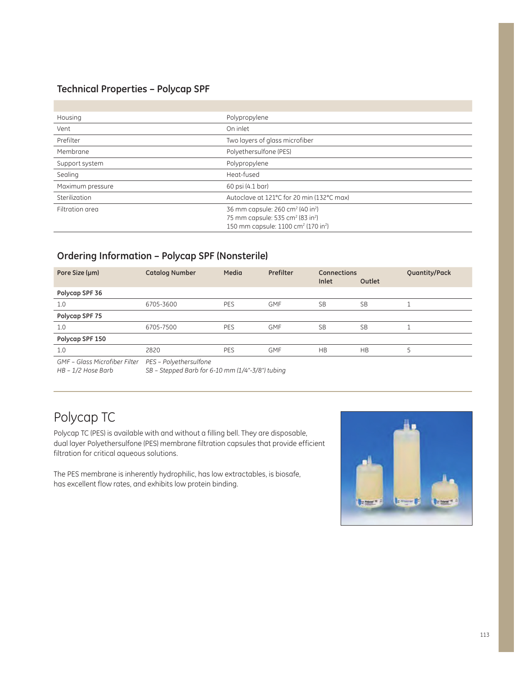### **Technical Properties – Polycap SPF**

| Housing          | Polypropylene                                                                                                        |
|------------------|----------------------------------------------------------------------------------------------------------------------|
| Vent             | On inlet                                                                                                             |
| Prefilter        | Two layers of glass microfiber                                                                                       |
| Membrane         | Polyethersulfone (PES)                                                                                               |
| Support system   | Polypropylene                                                                                                        |
| Sealing          | Heat-fused                                                                                                           |
| Maximum pressure | 60 psi (4.1 bar)                                                                                                     |
| Sterilization    | Autoclave at 121°C for 20 min (132°C max)                                                                            |
| Filtration area  | 36 mm capsule: 260 cm <sup>2</sup> (40 in <sup>2</sup> )<br>75 mm capsule: 535 cm <sup>2</sup> (83 in <sup>2</sup> ) |
|                  | 150 mm capsule: 1100 cm <sup>2</sup> (170 in <sup>2</sup> )                                                          |

### **Ordering Information – Polycap SPF (Nonsterile)**

| Pore Size (µm)                                          | <b>Catalog Number</b> | Media      | Prefilter  | <b>Connections</b><br>Inlet | Outlet    | Quantity/Pack |
|---------------------------------------------------------|-----------------------|------------|------------|-----------------------------|-----------|---------------|
| Polycap SPF 36                                          |                       |            |            |                             |           |               |
| 1.0                                                     | 6705-3600             | PES        | <b>GMF</b> | <b>SB</b>                   | <b>SB</b> |               |
| Polycap SPF 75                                          |                       |            |            |                             |           |               |
| 1.0                                                     | 6705-7500             | <b>PES</b> | <b>GMF</b> | <b>SB</b>                   | <b>SB</b> |               |
| Polycap SPF 150                                         |                       |            |            |                             |           |               |
| 1.0                                                     | 2820                  | <b>PES</b> | <b>GMF</b> | <b>HB</b>                   | <b>HB</b> |               |
| GMF - Glass Microfiber Filter    PES - Polyethersulfone |                       |            |            |                             |           |               |

*HB – 1/2 Hose Barb*

*SB – Stepped Barb for 6-10 mm (1/4"-3/8") tubing*

## Polycap TC

Polycap TC (PES) is available with and without a filling bell. They are disposable, dual layer Polyethersulfone (PES) membrane filtration capsules that provide efficient filtration for critical aqueous solutions.

The PES membrane is inherently hydrophilic, has low extractables, is biosafe, has excellent flow rates, and exhibits low protein binding.

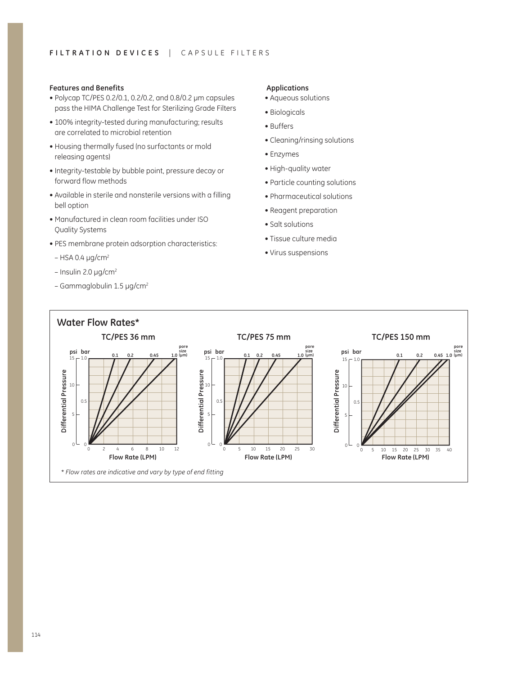#### **Features and Benefits**

- $\bullet$  Polycap TC/PES 0.2/0.1, 0.2/0.2, and 0.8/0.2 µm capsules pass the HIMA Challenge Test for Sterilizing Grade Filters
- 100% integrity-tested during manufacturing; results are correlated to microbial retention
- Housing thermally fused (no surfactants or mold releasing agents)
- Integrity-testable by bubble point, pressure decay or forward flow methods
- Available in sterile and nonsterile versions with a filling bell option
- Manufactured in clean room facilities under ISO Quality Systems
- PES membrane protein adsorption characteristics:
- $-$  HSA 0.4 µg/cm<sup>2</sup>
- $-$  Insulin 2.0  $\mu$ g/cm<sup>2</sup>
- Gammaglobulin  $1.5 \mu$ g/cm<sup>2</sup>

#### **Applications**

- Aqueous solutions
- Biologicals
- Buffers
- Cleaning/rinsing solutions
- Enzymes
- High-quality water
- Particle counting solutions
- $\bullet$  Pharmaceutical solutions
- Reagent preparation
- $\bullet$  Salt solutions
- Tissue culture media
- $\bullet$  Virus suspensions

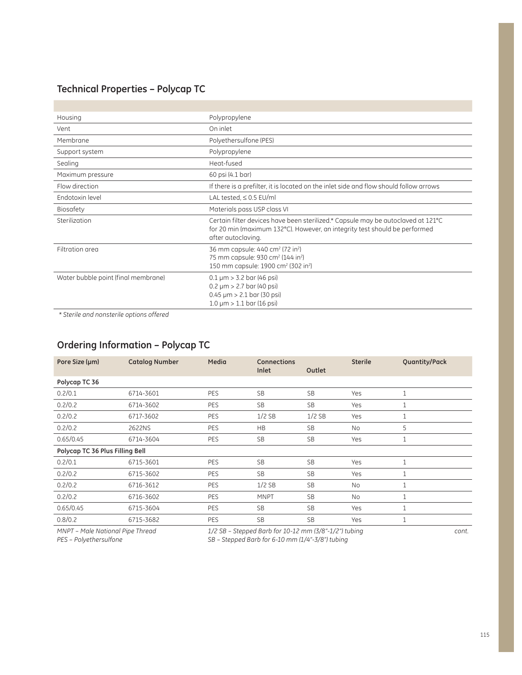### **Technical Properties – Polycap TC**

o.

| Housing                             | Polypropylene                                                                                                                                                                        |
|-------------------------------------|--------------------------------------------------------------------------------------------------------------------------------------------------------------------------------------|
| Vent                                | On inlet                                                                                                                                                                             |
| Membrane                            | Polyethersulfone (PES)                                                                                                                                                               |
| Support system                      | Polypropylene                                                                                                                                                                        |
| Sealing                             | Heat-fused                                                                                                                                                                           |
| Maximum pressure                    | 60 psi (4.1 bar)                                                                                                                                                                     |
| Flow direction                      | If there is a prefilter, it is located on the inlet side and flow should follow arrows                                                                                               |
| Endotoxin level                     | LAL tested, $\leq$ 0.5 EU/ml                                                                                                                                                         |
| Biosafety                           | Materials pass USP class VI                                                                                                                                                          |
| Sterilization                       | Certain filter devices have been sterilized.* Capsule may be autoclaved at 121°C<br>for 20 min (maximum 132°C). However, an integrity test should be performed<br>after autoclaving. |
| Filtration area                     | 36 mm capsule: 440 cm <sup>2</sup> (72 in <sup>2</sup> )<br>75 mm capsule: 930 cm <sup>2</sup> (144 in <sup>2</sup> )<br>150 mm capsule: 1900 cm <sup>2</sup> (302 in <sup>2</sup> ) |
| Water bubble point (final membrane) | $0.1 \mu m > 3.2$ bar (46 psi)<br>$0.2 \mu m > 2.7$ bar (40 psi)<br>$0.45 \mu m > 2.1 \text{ bar} (30 \text{ psi})$<br>$1.0 \mu m > 1.1$ bar (16 psi)                                |

 *\* Sterile and nonsterile options offered*

### **Ordering Information – Polycap TC**

| Pore Size (µm)                  | <b>Catalog Number</b> | Media | <b>Connections</b><br>Inlet | Outlet    | <b>Sterile</b> | Quantity/Pack |
|---------------------------------|-----------------------|-------|-----------------------------|-----------|----------------|---------------|
| Polycap TC 36                   |                       |       |                             |           |                |               |
| 0.2/0.1                         | 6714-3601             | PES   | <b>SB</b>                   | <b>SB</b> | Yes            | $\mathbf{1}$  |
| 0.2/0.2                         | 6714-3602             | PES   | <b>SB</b>                   | <b>SB</b> | Yes            | $\mathbf{1}$  |
| 0.2/0.2                         | 6717-3602             | PES   | $1/2$ SB                    | $1/2$ SB  | Yes            | $\mathbf{1}$  |
| 0.2/0.2                         | 2622NS                | PES   | <b>HB</b>                   | <b>SB</b> | <b>No</b>      | 5             |
| 0.65/0.45                       | 6714-3604             | PES   | <b>SB</b>                   | <b>SB</b> | Yes            | $\mathbf{1}$  |
| Polycap TC 36 Plus Filling Bell |                       |       |                             |           |                |               |
| 0.2/0.1                         | 6715-3601             | PES   | <b>SB</b>                   | <b>SB</b> | Yes            | $\mathbf{1}$  |
| 0.2/0.2                         | 6715-3602             | PES   | <b>SB</b>                   | <b>SB</b> | Yes            | $\mathbf{1}$  |
| 0.2/0.2                         | 6716-3612             | PES   | $1/2$ SB                    | <b>SB</b> | No             | $\mathbf{1}$  |
| 0.2/0.2                         | 6716-3602             | PES   | <b>MNPT</b>                 | <b>SB</b> | No             | 1             |
| 0.65/0.45                       | 6715-3604             | PES   | <b>SB</b>                   | <b>SB</b> | Yes            | $\mathbf{1}$  |
| 0.8/0.2                         | 6715-3682             | PES   | <b>SB</b>                   | <b>SB</b> | Yes            | $\mathbf{1}$  |

*MNPT – Male National Pipe Thread PES – Polyethersulfone*

*1/2 SB – Stepped Barb for 10-12 mm (3/8"-1/2") tubing SB – Stepped Barb for 6-10 mm (1/4"-3/8") tubing*

*cont.*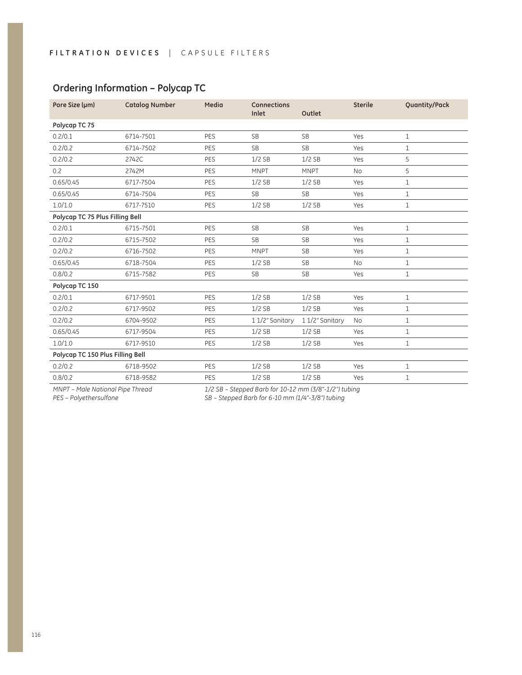| Pore Size (µm)                   | <b>Catalog Number</b> | Media      | <b>Connections</b><br>Inlet | Outlet          | <b>Sterile</b> | <b>Quantity/Pack</b> |
|----------------------------------|-----------------------|------------|-----------------------------|-----------------|----------------|----------------------|
| Polycap TC 75                    |                       |            |                             |                 |                |                      |
| 0.2/0.1                          | 6714-7501             | PES        | <b>SB</b>                   | <b>SB</b>       | Yes            | $\mathbf{1}$         |
| 0.2/0.2                          | 6714-7502             | PES        | <b>SB</b>                   | <b>SB</b>       | Yes            | $\mathbf{1}$         |
| 0.2/0.2                          | 2742C                 | <b>PES</b> | $1/2$ SB                    | $1/2$ SB        | Yes            | 5                    |
| 0.2                              | 2742M                 | PES        | <b>MNPT</b>                 | <b>MNPT</b>     | <b>No</b>      | 5                    |
| 0.65/0.45                        | 6717-7504             | PES        | $1/2$ SB                    | $1/2$ SB        | Yes            | $\mathbf{1}$         |
| 0.65/0.45                        | 6714-7504             | PES        | <b>SB</b>                   | <b>SB</b>       | Yes            | $\mathbf{1}$         |
| 1.0/1.0                          | 6717-7510             | <b>PES</b> | $1/2$ SB                    | $1/2$ SB        | Yes            | $\mathbf{1}$         |
| Polycap TC 75 Plus Filling Bell  |                       |            |                             |                 |                |                      |
| 0.2/0.1                          | 6715-7501             | PES        | <b>SB</b>                   | <b>SB</b>       | Yes            | $\mathbf{1}$         |
| 0.2/0.2                          | 6715-7502             | PES        | <b>SB</b>                   | <b>SB</b>       | Yes            | $\mathbf{1}$         |
| 0.2/0.2                          | 6716-7502             | PES        | <b>MNPT</b>                 | <b>SB</b>       | Yes            | $\mathbf{1}$         |
| 0.65/0.45                        | 6718-7504             | PES        | $1/2$ SB                    | <b>SB</b>       | <b>No</b>      | $\mathbf{1}$         |
| 0.8/0.2                          | 6715-7582             | PES        | <b>SB</b>                   | <b>SB</b>       | Yes            | $1\,$                |
| Polycap TC 150                   |                       |            |                             |                 |                |                      |
| 0.2/0.1                          | 6717-9501             | PES        | $1/2$ SB                    | $1/2$ SB        | Yes            | $\mathbf{1}$         |
| 0.2/0.2                          | 6717-9502             | PES        | $1/2$ SB                    | $1/2$ SB        | Yes            | $\mathbf{1}$         |
| 0.2/0.2                          | 6704-9502             | PES        | 11/2" Sanitary              | 1 1/2" Sanitary | <b>No</b>      | $\mathbf{1}$         |
| 0.65/0.45                        | 6717-9504             | PES        | $1/2$ SB                    | $1/2$ SB        | Yes            | $\mathbf{1}$         |
| 1.0/1.0                          | 6717-9510             | PES        | $1/2$ SB                    | $1/2$ SB        | Yes            | $\mathbf{1}$         |
| Polycap TC 150 Plus Filling Bell |                       |            |                             |                 |                |                      |
| 0.2/0.2                          | 6718-9502             | PES        | $1/2$ SB                    | $1/2$ SB        | Yes            | $\mathbf{1}$         |
| 0.8/0.2                          | 6718-9582             | PES        | $1/2$ SB                    | $1/2$ SB        | Yes            | $\mathbf{1}$         |

### **Ordering Information – Polycap TC**

*MNPT – Male National Pipe Thread PES – Polyethersulfone*

*1/2 SB – Stepped Barb for 10-12 mm (3/8"-1/2") tubing*

*SB – Stepped Barb for 6-10 mm (1/4"-3/8") tubing*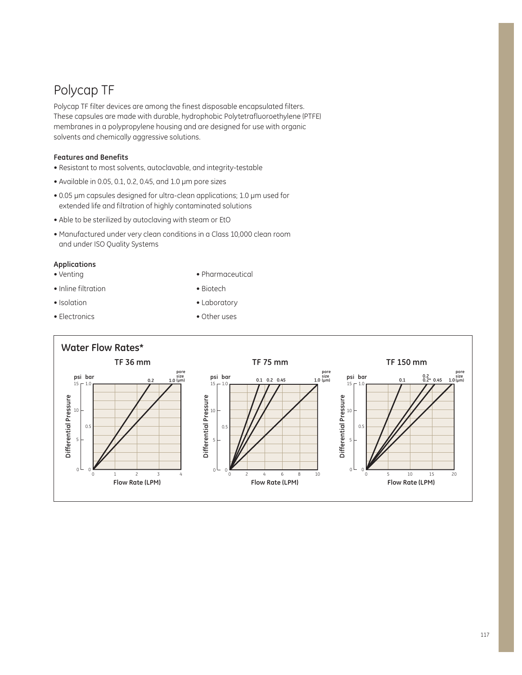## Polycap TF

Polycap TF filter devices are among the finest disposable encapsulated filters. These capsules are made with durable, hydrophobic Polytetrafluoroethylene (PTFE) membranes in a polypropylene housing and are designed for use with organic solvents and chemically aggressive solutions.

### **Features and Benefits**

- Resistant to most solvents, autoclavable, and integrity-testable
- $\bullet$  Available in 0.05, 0.1, 0.2, 0.45, and 1.0  $\mu$ m pore sizes
- $\bullet$  0.05 µm capsules designed for ultra-clean applications; 1.0 µm used for extended life and filtration of highly contaminated solutions
- Able to be sterilized by autoclaving with steam or EtO
- Manufactured under very clean conditions in a Class 10,000 clean room and under ISO Quality Systems

### **Applications**

 $\bullet$  Venting

• Pharmaceutical

• Inline filtration

• Biotech

- $\bullet$  Isolation
- Electronics

• Laboratory • Other uses

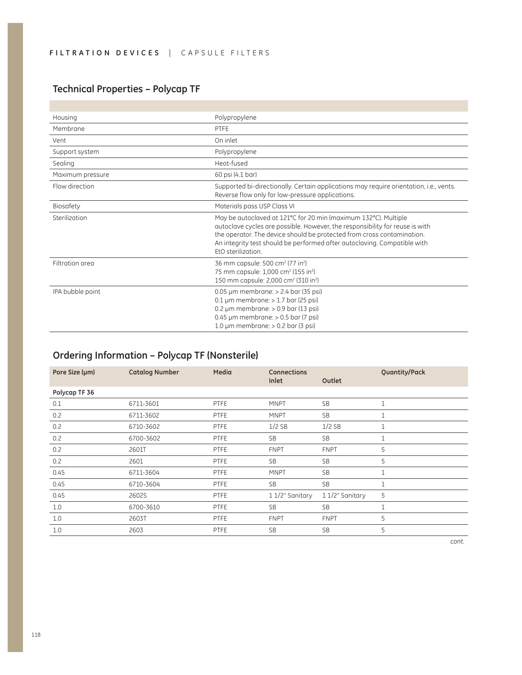## **Technical Properties – Polycap TF**

r.

| Housing          | Polypropylene                                                                                                                                                                                                                                                                                                               |
|------------------|-----------------------------------------------------------------------------------------------------------------------------------------------------------------------------------------------------------------------------------------------------------------------------------------------------------------------------|
| Membrane         | PTFE                                                                                                                                                                                                                                                                                                                        |
| Vent             | On inlet                                                                                                                                                                                                                                                                                                                    |
| Support system   | Polypropylene                                                                                                                                                                                                                                                                                                               |
| Sealing          | Heat-fused                                                                                                                                                                                                                                                                                                                  |
| Maximum pressure | 60 psi (4.1 bar)                                                                                                                                                                                                                                                                                                            |
| Flow direction   | Supported bi-directionally. Certain applications may require orientation, i.e., vents.<br>Reverse flow only for low-pressure applications.                                                                                                                                                                                  |
| Biosafety        | Materials pass USP Class VI                                                                                                                                                                                                                                                                                                 |
| Sterilization    | May be autoclaved at 121°C for 20 min (maximum 132°C). Multiple<br>autoclave cycles are possible. However, the responsibility for reuse is with<br>the operator. The device should be protected from cross contamination.<br>An integrity test should be performed after autoclaving. Compatible with<br>EtO sterilization. |
| Filtration area  | 36 mm capsule: 500 cm <sup>2</sup> (77 in <sup>2</sup> )<br>75 mm capsule: 1,000 cm <sup>2</sup> (155 in <sup>2</sup> )<br>150 mm capsule: 2,000 cm <sup>2</sup> (310 in <sup>2</sup> )                                                                                                                                     |
| IPA bubble point | $0.05 \mu m$ membrane: $> 2.4$ bar (35 psi)<br>$0.1 \,\mu$ m membrane: > 1.7 bar (25 psi)<br>$0.2 \mu m$ membrane: $> 0.9$ bar (13 psi)<br>0.45 µm membrane: > 0.5 bar (7 psi)<br>1.0 $\mu$ m membrane: $> 0.2$ bar (3 psi)                                                                                                 |

## **Ordering Information – Polycap TF (Nonsterile)**

| Pore Size (µm) | <b>Catalog Number</b> | Media       | <b>Connections</b><br>Inlet | Outlet          | Quantity/Pack |
|----------------|-----------------------|-------------|-----------------------------|-----------------|---------------|
| Polycap TF 36  |                       |             |                             |                 |               |
| 0.1            | 6711-3601             | PTFE        | <b>MNPT</b>                 | <b>SB</b>       | $\mathbf{1}$  |
| 0.2            | 6711-3602             | PTFE        | <b>MNPT</b>                 | SB              | $\mathbf{1}$  |
| 0.2            | 6710-3602             | <b>PTFE</b> | $1/2$ SB                    | $1/2$ SB        | $\mathbf 1$   |
| 0.2            | 6700-3602             | <b>PTFE</b> | <b>SB</b>                   | SB              | $\mathbf 1$   |
| 0.2            | 2601T                 | PTFE        | <b>FNPT</b>                 | <b>FNPT</b>     | 5             |
| 0.2            | 2601                  | PTFE        | <b>SB</b>                   | SB              | 5             |
| 0.45           | 6711-3604             | PTFE        | <b>MNPT</b>                 | SB              | $\mathbf{1}$  |
| 0.45           | 6710-3604             | PTFE        | <b>SB</b>                   | SB              | $\mathbf 1$   |
| 0.45           | 2602S                 | PTFE        | 1 1/2" Sanitary             | 1 1/2" Sanitary | 5             |
| 1.0            | 6700-3610             | PTFE        | <b>SB</b>                   | <b>SB</b>       | $\mathbf{1}$  |
| 1.0            | 2603T                 | PTFE        | <b>FNPT</b>                 | <b>FNPT</b>     | 5             |
| 1.0            | 2603                  | PTFE        | <b>SB</b>                   | <b>SB</b>       | 5             |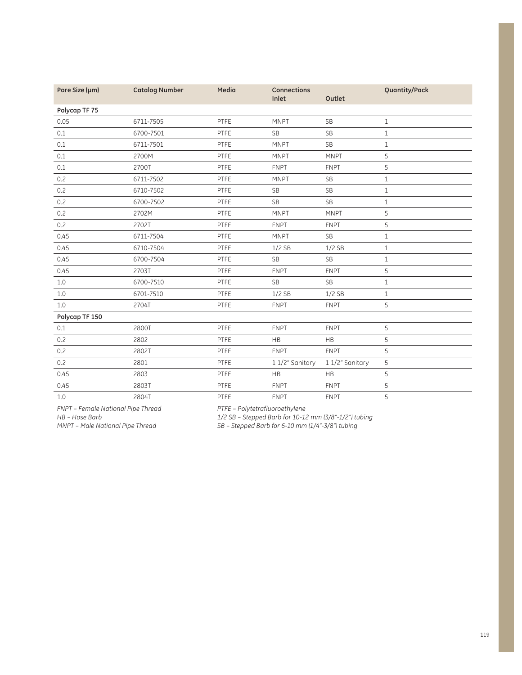| Pore Size (µm) | <b>Catalog Number</b> | Media | <b>Connections</b><br>Inlet | Outlet         | Quantity/Pack |
|----------------|-----------------------|-------|-----------------------------|----------------|---------------|
| Polycap TF 75  |                       |       |                             |                |               |
| 0.05           | 6711-7505             | PTFE  | <b>MNPT</b>                 | <b>SB</b>      | $\mathbf{1}$  |
| 0.1            | 6700-7501             | PTFE  | <b>SB</b>                   | <b>SB</b>      | $\mathbf 1$   |
| 0.1            | 6711-7501             | PTFE  | <b>MNPT</b>                 | <b>SB</b>      | $\mathbf 1$   |
| 0.1            | 2700M                 | PTFE  | <b>MNPT</b>                 | <b>MNPT</b>    | 5             |
| 0.1            | 2700T                 | PTFE  | <b>FNPT</b>                 | <b>FNPT</b>    | 5             |
| 0.2            | 6711-7502             | PTFE  | <b>MNPT</b>                 | <b>SB</b>      | $\mathbf 1$   |
| 0.2            | 6710-7502             | PTFE  | <b>SB</b>                   | <b>SB</b>      | $\mathbf{1}$  |
| 0.2            | 6700-7502             | PTFE  | <b>SB</b>                   | <b>SB</b>      | $\mathbf{1}$  |
| 0.2            | 2702M                 | PTFE  | <b>MNPT</b>                 | <b>MNPT</b>    | 5             |
| 0.2            | 2702T                 | PTFE  | <b>FNPT</b>                 | <b>FNPT</b>    | 5             |
| 0.45           | 6711-7504             | PTFE  | <b>MNPT</b>                 | <b>SB</b>      | $\mathbf{1}$  |
| 0.45           | 6710-7504             | PTFE  | $1/2$ SB                    | $1/2$ SB       | $\mathbf 1$   |
| 0.45           | 6700-7504             | PTFE  | <b>SB</b>                   | <b>SB</b>      | $\mathbf 1$   |
| 0.45           | 2703T                 | PTFE  | <b>FNPT</b>                 | <b>FNPT</b>    | 5             |
| $1.0\,$        | 6700-7510             | PTFE  | <b>SB</b>                   | <b>SB</b>      | $\mathbf 1$   |
| $1.0\,$        | 6701-7510             | PTFE  | $1/2$ SB                    | $1/2$ SB       | $\mathbf 1$   |
| 1.0            | 2704T                 | PTFE  | <b>FNPT</b>                 | <b>FNPT</b>    | 5             |
| Polycap TF 150 |                       |       |                             |                |               |
| 0.1            | 2800T                 | PTFE  | <b>FNPT</b>                 | <b>FNPT</b>    | 5             |
| 0.2            | 2802                  | PTFE  | <b>HB</b>                   | <b>HB</b>      | 5             |
| 0.2            | 2802T                 | PTFE  | <b>FNPT</b>                 | <b>FNPT</b>    | 5             |
| 0.2            | 2801                  | PTFE  | 1 1/2" Sanitary             | 11/2" Sanitary | 5             |
| 0.45           | 2803                  | PTFE  | <b>HB</b>                   | HB             | 5             |
| 0.45           | 2803T                 | PTFE  | <b>FNPT</b>                 | <b>FNPT</b>    | 5             |
| $1.0\,$        | 2804T                 | PTFE  | <b>FNPT</b>                 | <b>FNPT</b>    | 5             |

*FNPT – Female National Pipe Thread*

*HB – Hose Barb*

*PTFE – Polytetrafluoroethylene*

*MNPT – Male National Pipe Thread* 

*1/2 SB – Stepped Barb for 10-12 mm (3/8"-1/2") tubing*

*SB – Stepped Barb for 6-10 mm (1/4"-3/8") tubing*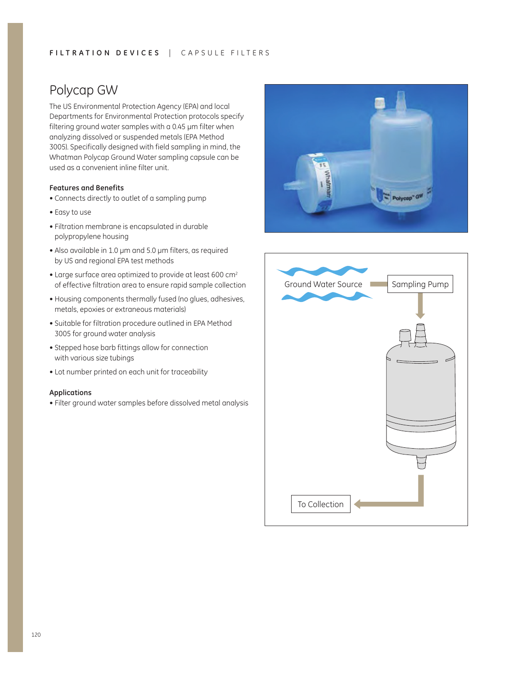### FILTRATION DEVICES | CAPSULE FILTERS

## Polycap GW

The US Environmental Protection Agency (EPA) and local Departments for Environmental Protection protocols specify filtering ground water samples with a 0.45  $\mu$ m filter when analyzing dissolved or suspended metals (EPA Method 3005). Specifically designed with field sampling in mind, the Whatman Polycap Ground Water sampling capsule can be used as a convenient inline filter unit.

### **Features and Benefits**

- Connects directly to outlet of a sampling pump
- Easy to use
- $\bullet$  Filtration membrane is encapsulated in durable polypropylene housing
- $\bullet$  Also available in 1.0 µm and 5.0 µm filters, as required by US and regional EPA test methods
- Large surface area optimized to provide at least 600 cm<sup>2</sup> of effective filtration area to ensure rapid sample collection
- Housing components thermally fused (no glues, adhesives, metals, epoxies or extraneous materials)
- Suitable for filtration procedure outlined in EPA Method 3005 for ground water analysis
- Stepped hose barb fittings allow for connection with various size tubings
- Lot number printed on each unit for traceability

#### **Applications**

• Filter ground water samples before dissolved metal analysis



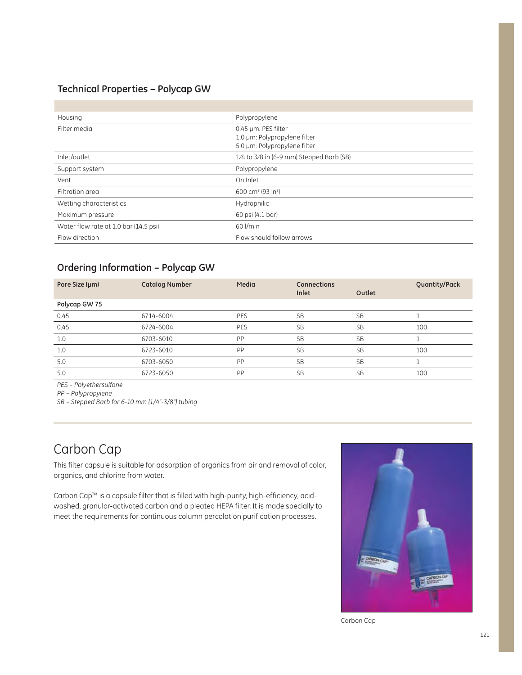### **Technical Properties – Polycap GW**

| Housing                               | Polypropylene                                                                       |
|---------------------------------------|-------------------------------------------------------------------------------------|
| Filter media                          | 0.45 µm: PES filter<br>1.0 µm: Polypropylene filter<br>5.0 µm: Polypropylene filter |
| Inlet/outlet                          | 1/4 to 3/8 in (6-9 mm) Stepped Barb (SB)                                            |
| Support system                        | Polypropylene                                                                       |
| Vent                                  | On Inlet                                                                            |
| Filtration area                       | 600 cm <sup>2</sup> (93 in <sup>2</sup> )                                           |
| Wetting characteristics               | Hydrophilic                                                                         |
| Maximum pressure                      | 60 psi (4.1 bar)                                                                    |
| Water flow rate at 1.0 bar (14.5 psi) | 60 l/min                                                                            |
| Flow direction                        | Flow should follow arrows                                                           |

### **Ordering Information – Polycap GW**

| Pore Size (µm) | <b>Catalog Number</b> | Media      | <b>Connections</b><br>Inlet | Outlet    | Quantity/Pack |
|----------------|-----------------------|------------|-----------------------------|-----------|---------------|
| Polycap GW 75  |                       |            |                             |           |               |
| 0.45           | 6714-6004             | PES        | <b>SB</b>                   | <b>SB</b> |               |
| 0.45           | 6724-6004             | <b>PES</b> | <b>SB</b>                   | <b>SB</b> | 100           |
| 1.0            | 6703-6010             | PP         | <b>SB</b>                   | <b>SB</b> |               |
| 1.0            | 6723-6010             | PP         | <b>SB</b>                   | <b>SB</b> | 100           |
| 5.0            | 6703-6050             | PP         | <b>SB</b>                   | <b>SB</b> |               |
| 5.0            | 6723-6050             | PP         | <b>SB</b>                   | <b>SB</b> | 100           |

*PES – Polyethersulfone*

*PP – Polypropylene*

*SB – Stepped Barb for 6-10 mm (1/4"-3/8") tubing*

## Carbon Cap

This filter capsule is suitable for adsorption of organics from air and removal of color, organics, and chlorine from water.

Carbon Cap™ is a capsule filter that is filled with high-purity, high-efficiency, acidwashed, granular-activated carbon and a pleated HEPA filter. It is made specially to meet the requirements for continuous column percolation purification processes.



Carbon Cap